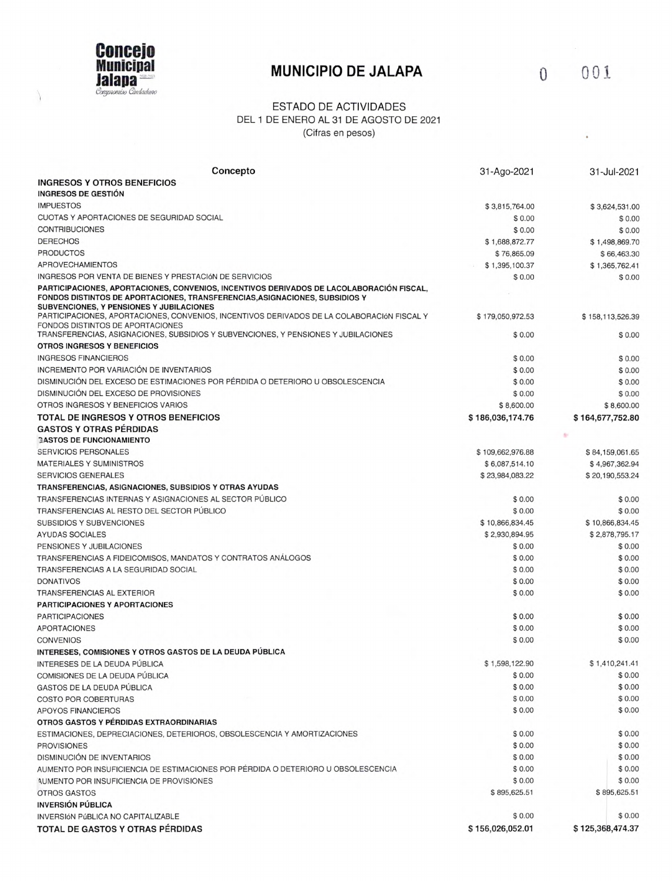

 $\bigg\}$ 

## **MUNICIPIO DE JALAPA 0 001**

 $\overline{\phantom{a}}$ 

## ESTADO DE ACTIVIDADES DEL 1 DE ENERO AL 31 DE AGOSTO DE 2021 (Cifras en pesos)

| Concepto                                                                                                                                                                                                            | 31-Ago-2021      | 31-Jul-2021      |
|---------------------------------------------------------------------------------------------------------------------------------------------------------------------------------------------------------------------|------------------|------------------|
| <b>INGRESOS Y OTROS BENEFICIOS</b>                                                                                                                                                                                  |                  |                  |
| INGRESOS DE GESTIÓN                                                                                                                                                                                                 |                  |                  |
| <b>IMPUESTOS</b>                                                                                                                                                                                                    | \$3,815,764.00   | \$3,624,531.00   |
| CUOTAS Y APORTACIONES DE SEGURIDAD SOCIAL                                                                                                                                                                           | \$0.00           | \$0.00           |
| <b>CONTRIBUCIONES</b>                                                                                                                                                                                               | \$0.00           | \$0.00           |
| <b>DERECHOS</b>                                                                                                                                                                                                     | \$1,688,872.77   | \$1,498,869.70   |
| <b>PRODUCTOS</b>                                                                                                                                                                                                    | \$76,865.09      | \$66,463.30      |
| APROVECHAMIENTOS                                                                                                                                                                                                    | \$1,395,100.37   | \$1,365,762.41   |
| INGRESOS POR VENTA DE BIENES Y PRESTACIÓN DE SERVICIOS                                                                                                                                                              | \$0.00           | \$0.00           |
| PARTICIPACIONES, APORTACIONES, CONVENIOS, INCENTIVOS DERIVADOS DE LACOLABORACIÓN FISCAL.<br>FONDOS DISTINTOS DE APORTACIONES, TRANSFERENCIAS, ASIGNACIONES, SUBSIDIOS Y<br>SUBVENCIONES, Y PENSIONES Y JUBILACIONES |                  |                  |
| PARTICIPACIONES, APORTACIONES, CONVENIOS, INCENTIVOS DERIVADOS DE LA COLABORACIÓN FISCAL Y<br>FONDOS DISTINTOS DE APORTACIONES                                                                                      | \$179,050,972.53 | \$158,113,526.39 |
| TRANSFERENCIAS, ASIGNACIONES, SUBSIDIOS Y SUBVENCIONES, Y PENSIONES Y JUBILACIONES                                                                                                                                  | \$0.00           | \$0.00           |
| OTROS INGRESOS Y BENEFICIOS                                                                                                                                                                                         |                  |                  |
| <b>INGRESOS FINANCIEROS</b>                                                                                                                                                                                         | \$0.00           | \$0.00           |
| INCREMENTO POR VARIACIÓN DE INVENTARIOS                                                                                                                                                                             | \$0.00           | \$0.00           |
| DISMINUCIÓN DEL EXCESO DE ESTIMACIONES POR PÉRDIDA O DETERIORO U OBSOLESCENCIA                                                                                                                                      | \$0.00           | \$0.00           |
| DISMINUCIÓN DEL EXCESO DE PROVISIONES                                                                                                                                                                               | \$0.00           | \$0.00           |
| OTROS INGRESOS Y BENEFICIOS VARIOS                                                                                                                                                                                  | \$8,600.00       | \$8,600.00       |
| <b>TOTAL DE INGRESOS Y OTROS BENEFICIOS</b>                                                                                                                                                                         | \$186,036,174.76 | \$164,677,752.80 |
| <b>GASTOS Y OTRAS PÉRDIDAS</b>                                                                                                                                                                                      |                  |                  |
| <b>GASTOS DE FUNCIONAMIENTO</b>                                                                                                                                                                                     |                  |                  |
| <b>SERVICIOS PERSONALES</b>                                                                                                                                                                                         | \$109,662,976.88 | \$84,159,061.65  |
| <b>MATERIALES Y SUMINISTROS</b>                                                                                                                                                                                     | \$6,087,514.10   | \$4,967,362.94   |
| <b>SERVICIOS GENERALES</b>                                                                                                                                                                                          | \$23,984,083.22  | \$20,190,553.24  |
| TRANSFERENCIAS, ASIGNACIONES, SUBSIDIOS Y OTRAS AYUDAS                                                                                                                                                              |                  |                  |
| TRANSFERENCIAS INTERNAS Y ASIGNACIONES AL SECTOR PÚBLICO                                                                                                                                                            | \$0.00           | \$0.00           |
| TRANSFERENCIAS AL RESTO DEL SECTOR PÚBLICO                                                                                                                                                                          | \$0.00           | \$0.00           |
| <b>SUBSIDIOS Y SUBVENCIONES</b>                                                                                                                                                                                     | \$10,866,834.45  | \$10,866,834.45  |
| AYUDAS SOCIALES                                                                                                                                                                                                     | \$2,930,894.95   | \$2,878,795.17   |
| PENSIONES Y JUBILACIONES                                                                                                                                                                                            | \$0.00           | \$0.00           |
| TRANSFERENCIAS A FIDEICOMISOS, MANDATOS Y CONTRATOS ANÁLOGOS                                                                                                                                                        | \$0.00           | \$0.00           |
| TRANSFERENCIAS A LA SEGURIDAD SOCIAL                                                                                                                                                                                | \$0.00           | \$0.00           |
| <b>DONATIVOS</b>                                                                                                                                                                                                    | \$0.00           | \$0.00           |
| TRANSFERENCIAS AL EXTERIOR                                                                                                                                                                                          | \$0.00           | \$0.00           |
| <b>PARTICIPACIONES Y APORTACIONES</b>                                                                                                                                                                               |                  |                  |
| <b>PARTICIPACIONES</b>                                                                                                                                                                                              | \$0.00           | \$0.00           |
| <b>APORTACIONES</b>                                                                                                                                                                                                 | \$0.00           | \$0.00           |
| <b>CONVENIOS</b>                                                                                                                                                                                                    | \$0.00           | \$0.00           |
| INTERESES, COMISIONES Y OTROS GASTOS DE LA DEUDA PÚBLICA                                                                                                                                                            |                  |                  |
| INTERESES DE LA DEUDA PÚBLICA                                                                                                                                                                                       | \$1,598,122.90   | \$1,410,241.41   |
| COMISIONES DE LA DEUDA PÚBLICA                                                                                                                                                                                      | \$0.00           | \$0.00           |
| GASTOS DE LA DEUDA PÚBLICA                                                                                                                                                                                          | \$0.00           | \$0.00           |
| <b>COSTO POR COBERTURAS</b>                                                                                                                                                                                         | \$0.00           | \$0.00           |
| APOYOS FINANCIEROS                                                                                                                                                                                                  | \$0.00           | \$0.00           |
| OTROS GASTOS Y PÉRDIDAS EXTRAORDINARIAS                                                                                                                                                                             |                  |                  |
| ESTIMACIONES, DEPRECIACIONES, DETERIOROS, OBSOLESCENCIA Y AMORTIZACIONES                                                                                                                                            | \$0.00           | \$0.00           |
| <b>PROVISIONES</b>                                                                                                                                                                                                  | \$0.00           | \$0.00           |
| DISMINUCIÓN DE INVENTARIOS                                                                                                                                                                                          | \$0.00           | \$0.00           |
| AUMENTO POR INSUFICIENCIA DE ESTIMACIONES POR PÉRDIDA O DETERIORO U OBSOLESCENCIA                                                                                                                                   | \$0.00           | \$0.00           |
| AUMENTO POR INSUFICIENCIA DE PROVISIONES                                                                                                                                                                            | \$0.00           | \$0.00           |
| OTROS GASTOS                                                                                                                                                                                                        | \$895,625.51     | \$895,625.51     |
| <b>INVERSIÓN PÚBLICA</b>                                                                                                                                                                                            |                  |                  |
| INVERSIÓN PÚBLICA NO CAPITALIZABLE                                                                                                                                                                                  | \$0.00           | \$0.00           |
| TOTAL DE GASTOS Y OTRAS PÉRDIDAS                                                                                                                                                                                    | \$156,026,052.01 | \$125,368,474.37 |